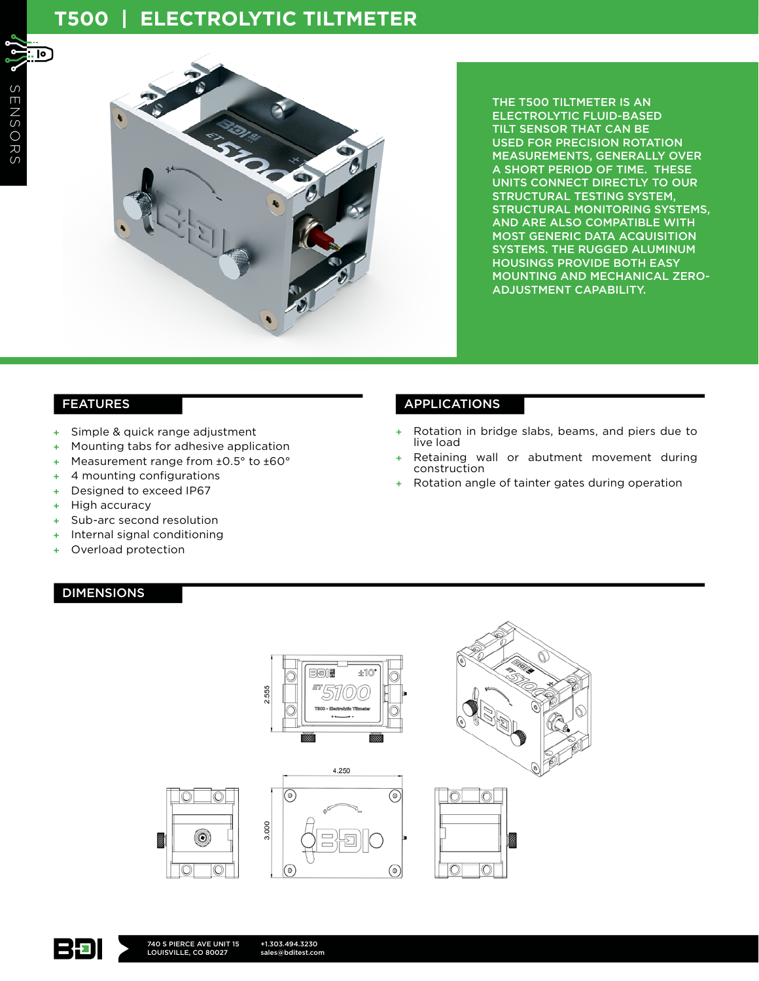# **T500 | ELECTROLYTIC TILTMETER**

冋



THE T500 TILTMETER IS AN ELECTROLYTIC FLUID-BASED TILT SENSOR THAT CAN BE USED FOR PRECISION ROTATION MEASUREMENTS, GENERALLY OVER A SHORT PERIOD OF TIME. THESE UNITS CONNECT DIRECTLY TO OUR STRUCTURAL TESTING SYSTEM, STRUCTURAL MONITORING SYSTEMS, AND ARE ALSO COMPATIBLE WITH MOST GENERIC DATA ACQUISITION SYSTEMS. THE RUGGED ALUMINUM HOUSINGS PROVIDE BOTH EASY MOUNTING AND MECHANICAL ZERO-ADJUSTMENT CAPABILITY.

- + Simple & quick range adjustment
- + Mounting tabs for adhesive application
- + Measurement range from ±0.5° to ±60°
- + 4 mounting configurations
- + Designed to exceed IP67
- + High accuracy
- + Sub-arc second resolution
- + Internal signal conditioning
- + Overload protection

#### DIMENSIONS

## FEATURES APPLICATIONS

- + Rotation in bridge slabs, beams, and piers due to live load
- + Retaining wall or abutment movement during construction
- Rotation angle of tainter gates during operation